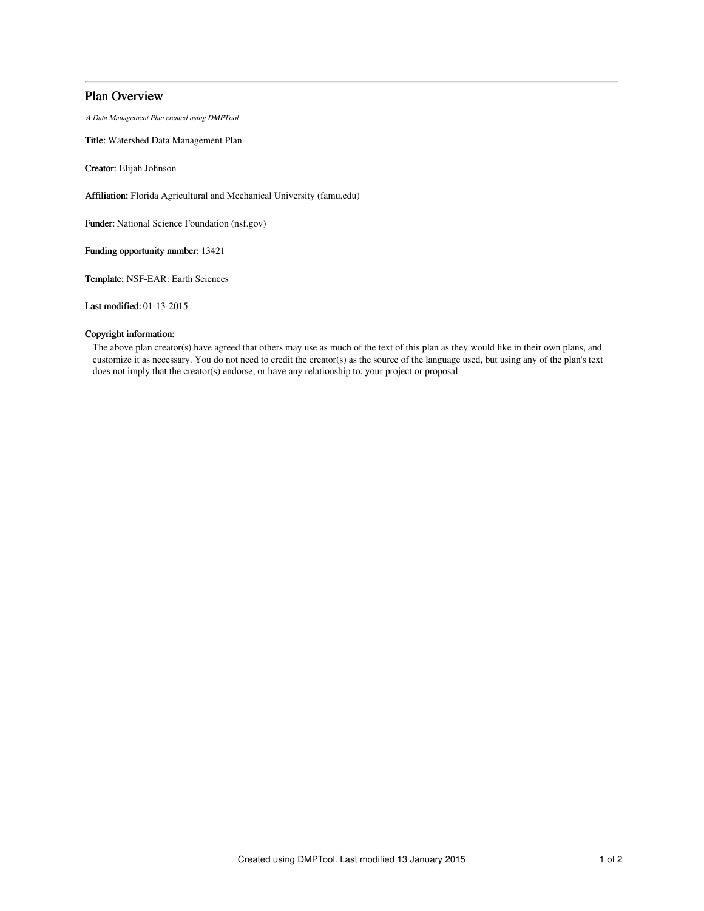# Plan Overview

A Data Management Plan created using DMPTool

Title: Watershed Data Management Plan

Creator: Elijah Johnson

Affiliation: Florida Agricultural and Mechanical University (famu.edu)

Funder: National Science Foundation (nsf.gov)

Funding opportunity number: 13421

Template: NSF-EAR: Earth Sciences

Last modified: 01-13-2015

## Copyright information:

The above plan creator(s) have agreed that others may use as much of the text of this plan as they would like in their own plans, and customize it as necessary. You do not need to credit the creator(s) as the source of the language used, but using any of the plan's text does not imply that the creator(s) endorse, or have any relationship to, your project or proposal